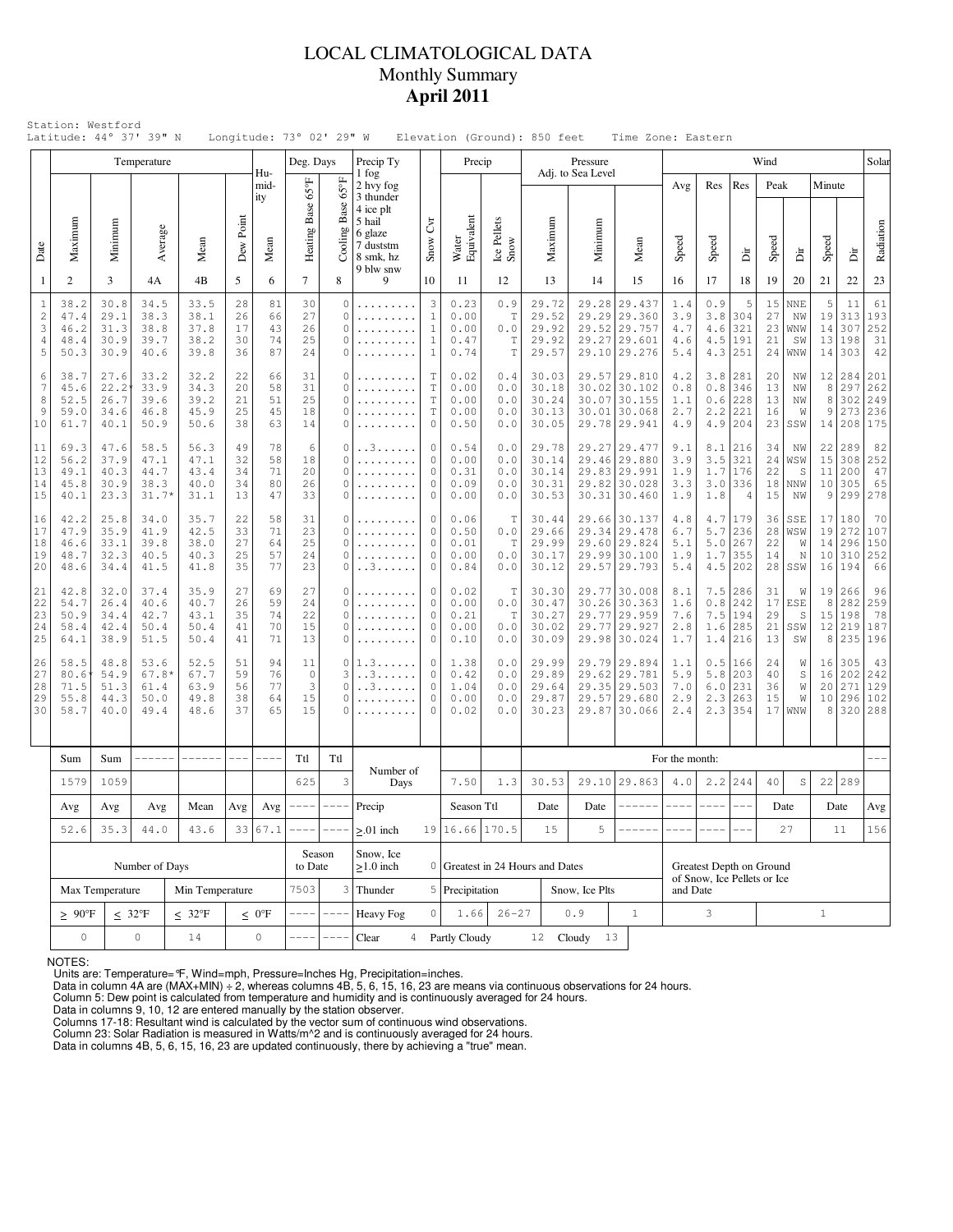# LOCAL CLIMATOLOGICAL DATA Monthly Summary **April 2011**

|                                                        |                                      |                                      | Temperature                             |                                      |                            |                            | Deg. Days                          |                                                | Precip Ty                                                                          |                                                                   | Precip                               |                                  |                                           | Pressure          |                                                                              |                                         |                                 |                                                 | Wind                       |                                      |                           |                                     | Solar                                  |
|--------------------------------------------------------|--------------------------------------|--------------------------------------|-----------------------------------------|--------------------------------------|----------------------------|----------------------------|------------------------------------|------------------------------------------------|------------------------------------------------------------------------------------|-------------------------------------------------------------------|--------------------------------------|----------------------------------|-------------------------------------------|-------------------|------------------------------------------------------------------------------|-----------------------------------------|---------------------------------|-------------------------------------------------|----------------------------|--------------------------------------|---------------------------|-------------------------------------|----------------------------------------|
|                                                        |                                      |                                      |                                         |                                      |                            | Hu-<br>mid-                |                                    | $65^{\circ}$ F                                 | 1 fog<br>2 hvy fog                                                                 |                                                                   |                                      |                                  |                                           | Adj. to Sea Level |                                                                              | Avg                                     | Res                             | Res                                             | Peak                       |                                      | Minute                    |                                     |                                        |
| Date                                                   | Maximum                              | Minimum                              | Average                                 | Mean                                 | Dew Point                  | ity<br>Mean                | Heating Base 65°F                  | <b>Base</b><br>Cooling                         | 3 thunder<br>4 ice plt<br>5 hail<br>6 glaze<br>7 duststm<br>8 smk, hz<br>9 blw snw | $\mathcal{E}$<br>Snow                                             | Water<br>Equivalent                  | Ice Pellets<br>Snow              | Maximum                                   | Minimum           | Mean                                                                         | Speed                                   | Speed                           | ä                                               | Speed                      | ä                                    | Speed                     | ä                                   | Radiation                              |
| -1                                                     | $\overline{2}$                       | 3                                    | 4A                                      | 4B                                   | 5                          | 6                          | $\overline{7}$                     | 8                                              | 9                                                                                  | 10                                                                | 11                                   | 12                               | 13                                        | 14                | 15                                                                           | 16                                      | 17                              | 18                                              | 19                         | 20                                   | 21                        | 22                                  | 23                                     |
| $\mathbf{1}$<br>$\sqrt{2}$<br>3<br>$\overline{4}$<br>5 | 38.2<br>47.4<br>46.2<br>48.4<br>50.3 | 30.8<br>29.1<br>31.3<br>30.9<br>30.9 | 34.5<br>38.3<br>38.8<br>39.7<br>40.6    | 33.5<br>38.1<br>37.8<br>38.2<br>39.8 | 28<br>26<br>17<br>30<br>36 | 81<br>66<br>43<br>74<br>87 | 30<br>27<br>26<br>25<br>24         | 0<br>$\Omega$<br>0<br>0<br>0                   | .                                                                                  | 3<br>$\mathbf{1}$<br>$\mathbf{1}$<br>$\mathbf{1}$<br>$\mathbf{1}$ | 0.23<br>0.00<br>0.00<br>0.47<br>0.74 | 0.9<br>T<br>0.0<br>T<br>T        | 29.72<br>29.52<br>29.92<br>29.92<br>29.57 | 29.28<br>29.29    | 29.437<br>29.360<br>29.52 29.757<br>29.27 29.601<br>29.10 29.276             | 1.4<br>3.9<br>4.7<br>4.6<br>5.4         | 0.9<br>3.8<br>4.6<br>4.5<br>4.3 | 5<br>304<br>321<br> 191<br>251                  | 15<br>27<br>23<br>21<br>24 | <b>NNE</b><br>NW<br>WNW<br>SW<br>WNW | 5<br>19<br>14<br>13<br>14 | 11<br>313<br>307<br> 198<br>303     | 61<br>193<br>252<br>31<br>42           |
| 6<br>7<br>8<br>9<br>10                                 | 38.7<br>45.6<br>52.5<br>59.0<br>61.7 | 27.6<br>22.2<br>26.7<br>34.6<br>40.1 | 33.2<br>33.9<br>39.6<br>46.8<br>50.9    | 32.2<br>34.3<br>39.2<br>45.9<br>50.6 | 22<br>20<br>21<br>25<br>38 | 66<br>58<br>51<br>45<br>63 | 31<br>31<br>25<br>18<br>14         | $\Omega$<br>0<br>$\Omega$<br>0<br>0            | .                                                                                  | $\mathbb T$<br>T<br>$\mathbb T$<br>T<br>$\circ$                   | 0.02<br>0.00<br>0.00<br>0.00<br>0.50 | 0.4<br>0.0<br>0.0<br>0.0<br>0.0  | 30.03<br>30.18<br>30.24<br>30.13<br>30.05 |                   | 29.57 29.810<br>30.02 30.102<br>30.07 30.155<br>30.01 30.068<br>29.78 29.941 | 4.2<br>0.8<br>1.1<br>2.7<br>4.9         | 3.8<br>0.8<br>0.6               | 281<br>346<br>228<br>$2.2$ 221<br>$4.9$   204   | 20<br>13<br>13<br>16<br>23 | ΝW<br>NW<br>NW<br>W<br>SSW           | 8<br>8<br>9               | 12 284<br>297<br>302<br>273         | 201<br>262<br>249<br>236<br>14 208 175 |
| 11<br>12<br>13<br>14<br>15                             | 69.3<br>56.2<br>49.1<br>45.8<br>40.1 | 47.6<br>37.9<br>40.3<br>30.9<br>23.3 | 58.5<br>47.1<br>44.7<br>38.3<br>$31.7*$ | 56.3<br>47.1<br>43.4<br>40.0<br>31.1 | 49<br>32<br>34<br>34<br>13 | 78<br>58<br>71<br>80<br>47 | $\epsilon$<br>18<br>20<br>26<br>33 | 0<br>0<br>$\mathbf{0}$<br>$\Omega$<br>0        | . . 3                                                                              | $\circ$<br>$\circ$<br>$\circ$<br>$\circ$<br>$\circ$               | 0.54<br>0.00<br>0.31<br>0.09<br>0.00 | 0.0<br>0.0<br>0.0<br>0.0<br>0.0  | 29.78<br>30.14<br>30.14<br>30.31<br>30.53 | 29.27             | 29.477<br>29.46 29.880<br>29.83 29.991<br>29.82 30.028<br>30.31 30.460       | 9.1<br>3.9<br>1.9<br>3.3<br>1.9         | 8.1<br>3.5<br>1.7<br>1.8        | 216<br>321<br>176<br>$3.0$  336<br>4            | 34<br>24<br>22<br>18<br>15 | NW<br>WSW<br>S<br>NNW<br>NW          | 22<br>15<br>11<br>10<br>9 | 289<br>308<br>200<br>305<br>299     | 82<br>252<br>47<br>65<br>278           |
| 16<br>17<br>18<br>19<br>20                             | 42.2<br>47.9<br>46.6<br>48.7<br>48.6 | 25.8<br>35.9<br>33.1<br>32.3<br>34.4 | 34.0<br>41.9<br>39.8<br>40.5<br>41.5    | 35.7<br>42.5<br>38.0<br>40.3<br>41.8 | 22<br>33<br>27<br>25<br>35 | 58<br>71<br>64<br>57<br>77 | 31<br>23<br>25<br>24<br>23         | 0<br>$\Omega$<br>$\Omega$<br>$\mathbf{0}$<br>0 | . . 3                                                                              | 0<br>$\circ$<br>$\circ$<br>$\circ$<br>$\circ$                     | 0.06<br>0.50<br>0.01<br>0.00<br>0.84 | T<br>0.0<br>T<br>0.0<br>0.0      | 30.44<br>29.66<br>29.99<br>30.17<br>30.12 |                   | 29.66 30.137<br>29.34 29.478<br>29.60 29.824<br>29.99 30.100<br>29.57 29.793 | 4.8<br>6.7<br>5.1<br>1.9<br>5.4         | 5.7<br>1.7<br>4.5               | $4.7$   179<br>236<br>$5.0$   267<br>355<br>202 | 36<br>28<br>22<br>14<br>28 | SSE<br>WSW<br>W<br>N<br>SSW          | 19<br>14<br>10<br>16      | 17 180<br>272<br>296<br>310<br>194  | 70<br>107<br>150<br>252<br>66          |
| 21<br>22<br>23<br>24<br>25                             | 42.8<br>54.7<br>50.9<br>58.4<br>64.1 | 32.0<br>26.4<br>34.4<br>42.4<br>38.9 | 37.4<br>40.6<br>42.7<br>50.4<br>51.5    | 35.9<br>40.7<br>43.1<br>50.4<br>50.4 | 27<br>26<br>35<br>41<br>41 | 69<br>59<br>74<br>70<br>71 | 27<br>24<br>22<br>15<br>13         | $\Omega$<br>0<br>$\Omega$<br>0<br>0            | .                                                                                  | $\theta$<br>$\circ$<br>$\circ$<br>$\theta$<br>$\Omega$            | 0.02<br>0.00<br>0.21<br>0.00<br>0.10 | T<br>0.0<br>T<br>0.0<br>0.0      | 30.30<br>30.47<br>30.27<br>30.02<br>30.09 |                   | 29.77 30.008<br>30.26 30.363<br>29.77 29.959<br>29.77 29.927<br>29.98 30.024 | 8.1<br>1.6<br>7.6<br>2.8<br>1.7         | 7.5<br>0.8<br>1.6               | 286<br>242<br>$7.5$   194<br>285<br>$1.4$   216 | 31<br>17<br>29<br>21<br>13 | W<br>ESE<br>S<br>SSW<br>SW           | 19<br>$\,8\,$<br>15<br>8  | 266<br>282<br> 198<br>12 219<br>235 | 96<br>259<br>78<br>187<br>196          |
| 26<br>27<br>28<br>29<br>30                             | 58.5<br>80.6<br>71.5<br>55.8<br>58.7 | 48.8<br>54.9<br>51.3<br>44.3<br>40.0 | 53.6<br>$67.8*$<br>61.4<br>50.0<br>49.4 | 52.5<br>67.7<br>63.9<br>49.8<br>48.6 | 51<br>59<br>56<br>38<br>37 | 94<br>76<br>77<br>64<br>65 | 11<br>$\circ$<br>3<br>15<br>15     | 0<br>3<br>$\mathbf{0}$<br>$\Omega$             | $1.3.$ .<br>. . 3<br>. . 3                                                         | 0<br>$\circ$<br>$\circ$<br>$\circ$<br>$\Omega$                    | 1.38<br>0.42<br>1.04<br>0.00<br>0.02 | 0.0<br>0.0<br>0.0<br>0.0<br>0.0  | 29.99<br>29.89<br>29.64<br>29.87<br>30.23 | 29.57             | 29.79 29.894<br>29.62 29.781<br>29.35 29.503<br>29.680<br>29.87 30.066       | 1.1<br>5.9<br>7.0<br>2.9<br>2.4         | 5.8<br>6.0<br>2.3               | 0.5 166<br>203<br>231<br>263<br>$2.3$ 354       | 24<br>40<br>36<br>15<br>17 | W<br>S<br>W<br>W<br>WNW              | 16<br>16<br>20<br>10<br>8 | 305<br>202<br>271<br>296            | 43<br>242<br>129<br>102<br>320 288     |
|                                                        | Sum                                  | Sum                                  |                                         |                                      |                            |                            | Ttl                                | Ttl                                            |                                                                                    |                                                                   |                                      |                                  |                                           |                   |                                                                              | For the month:                          |                                 |                                                 |                            |                                      |                           |                                     |                                        |
|                                                        | 1579                                 | 1059                                 |                                         |                                      |                            |                            | 625                                | 3                                              | Number of<br>Days                                                                  |                                                                   | 7.50                                 | 1.3                              | 30.53                                     |                   | 29.10 29.863                                                                 | 4.0                                     | 2.2                             | 1244                                            | 40                         | $\mathbb S$                          | 22                        | 289                                 |                                        |
|                                                        | Avg                                  | Avg                                  | Avg                                     | Mean                                 | Avg                        | Avg                        |                                    | ----                                           | Precip                                                                             |                                                                   | Season Ttl                           |                                  | Date                                      | Date              |                                                                              |                                         |                                 |                                                 |                            | Date                                 |                           | Date                                | Avg                                    |
|                                                        | 52.6                                 | 35.3                                 | 44.0                                    | 43.6                                 |                            | 33 67.1                    |                                    | $-$                                            | $\geq 01$ inch                                                                     |                                                                   | 19 16.66 170.5                       |                                  | 15                                        | 5                 |                                                                              |                                         |                                 |                                                 |                            | 27                                   |                           | 11                                  | 156                                    |
|                                                        |                                      |                                      | Number of Days                          |                                      |                            |                            | Season<br>to Date                  |                                                | Snow, Ice<br>$\geq$ 1.0 inch                                                       |                                                                   |                                      | 0 Greatest in 24 Hours and Dates |                                           |                   |                                                                              | Greatest Depth on Ground                |                                 |                                                 |                            |                                      |                           |                                     |                                        |
|                                                        |                                      | Max Temperature                      |                                         | Min Temperature                      |                            |                            | 7503                               | 3                                              | Thunder                                                                            |                                                                   | 5 Precipitation                      |                                  |                                           | Snow, Ice Plts    |                                                                              | of Snow, Ice Pellets or Ice<br>and Date |                                 |                                                 |                            |                                      |                           |                                     |                                        |
|                                                        | $\geq 90^{\circ}$ F                  |                                      | $\leq 32^{\circ}F$                      | $\leq 32^{\circ}F$                   |                            | $\leq 0$ <sup>o</sup> F    |                                    | $- - -$                                        | Heavy Fog                                                                          | $\circ$                                                           | 1.66                                 | $26 - 27$                        |                                           | 0.9               | $\,1\,$                                                                      |                                         | 3                               |                                                 |                            |                                      | $\mathbf{1}$              |                                     |                                        |
|                                                        | $\circ$                              |                                      | $\mathbb O$                             | $\mathsf{O}\xspace$<br>$1\,4$        |                            |                            | ----                               | $---$                                          | Clear<br>$\overline{4}$                                                            |                                                                   | Partly Cloudy                        |                                  | 12 Cloudy                                 | 13                |                                                                              |                                         |                                 |                                                 |                            |                                      |                           |                                     |                                        |

NOTES:

Units are: Temperature=°F, Wind=mph, Pressure=Inches Hg, Precipitation=inches.<br>Data in column 4A are (MAX+MIN) ÷ 2, whereas columns 4B, 5, 6, 15, 16, 23 are means via continuous observations for 24 hours.<br>Column 5: Dew poi

Column 23: Solar Radiation is measured in Watts/m^2 and is continuously averaged for 24 hours. Data in columns 4B, 5, 6, 15, 16, 23 are updated continuously, there by achieving a "true" mean.

Columns 17-18: Resultant wind is calculated by the vector sum of continuous wind observations.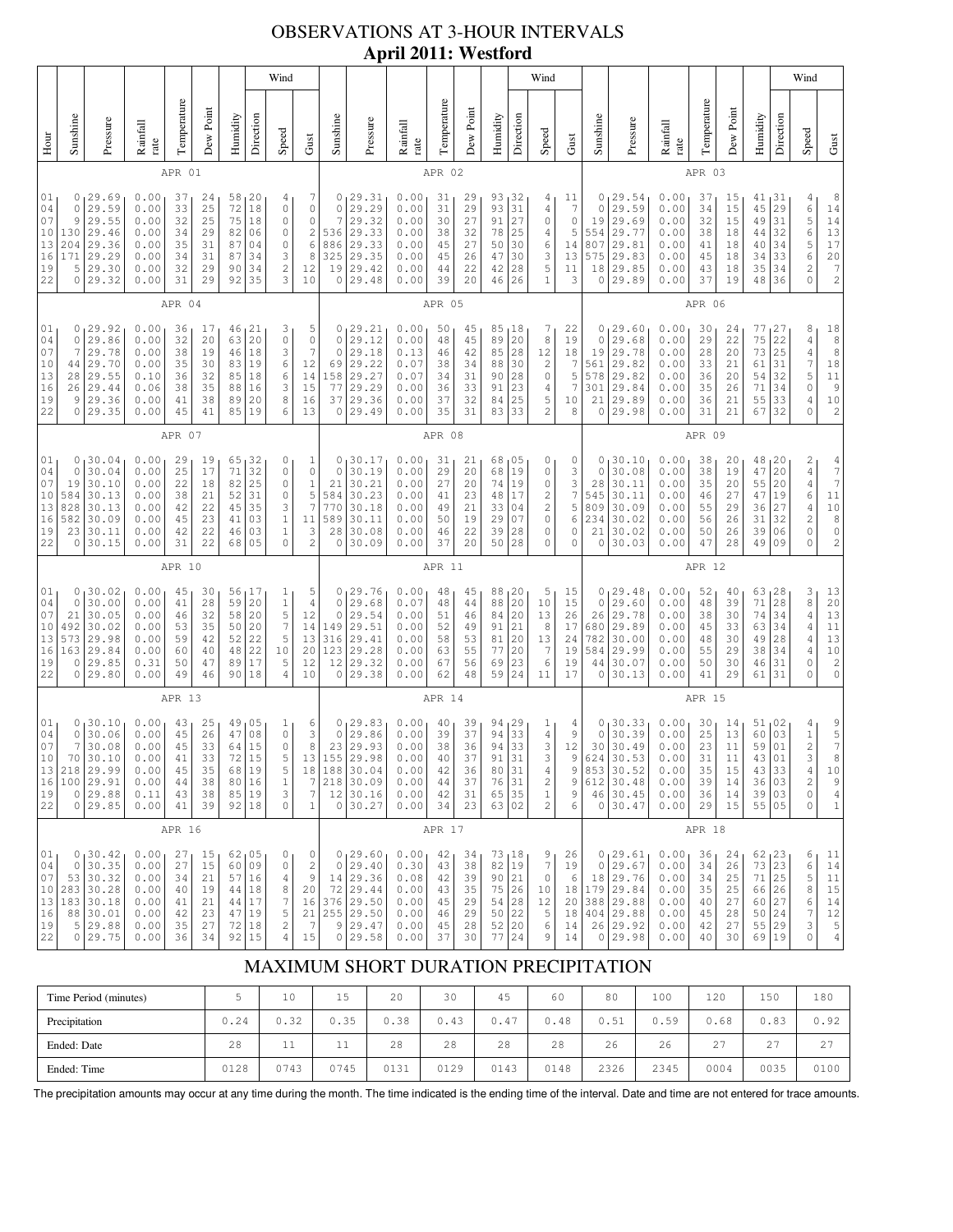# OBSERVATIONS AT 3-HOUR INTERVALS **April 2011: Westford**

|                                                           |                                                      |                                                                                           |                                                              |                                              |                                              |                                                       |                                                  | Wind                                                                                         |                                                                                                                                                                                      |                                                               |                                                                                                 |                                                              |                                              |                                              |                                                                   |                                                                               | Wind                                                                         |                                                                 |                                              |                                                                                               |                                                              |                                              |                                              |                                                                                |                                              | Wind                                                                     |                                                                                                              |
|-----------------------------------------------------------|------------------------------------------------------|-------------------------------------------------------------------------------------------|--------------------------------------------------------------|----------------------------------------------|----------------------------------------------|-------------------------------------------------------|--------------------------------------------------|----------------------------------------------------------------------------------------------|--------------------------------------------------------------------------------------------------------------------------------------------------------------------------------------|---------------------------------------------------------------|-------------------------------------------------------------------------------------------------|--------------------------------------------------------------|----------------------------------------------|----------------------------------------------|-------------------------------------------------------------------|-------------------------------------------------------------------------------|------------------------------------------------------------------------------|-----------------------------------------------------------------|----------------------------------------------|-----------------------------------------------------------------------------------------------|--------------------------------------------------------------|----------------------------------------------|----------------------------------------------|--------------------------------------------------------------------------------|----------------------------------------------|--------------------------------------------------------------------------|--------------------------------------------------------------------------------------------------------------|
| Hour                                                      | Sunshine                                             | Pressure                                                                                  | Rainfall<br>rate                                             | Temperature                                  | Dew Point                                    | Humidity                                              | Direction                                        | Speed                                                                                        | Gust                                                                                                                                                                                 | Sunshine                                                      | Pressure                                                                                        | Rainfall<br>rate                                             | Temperature                                  | Dew Point                                    | Humidity                                                          | Direction                                                                     | Speed                                                                        | Gust                                                            | Sunshine                                     | Pressure                                                                                      | Rainfall<br>rate                                             | Temperature                                  | Dew Point                                    | Humidity                                                                       | Direction                                    | Speed                                                                    | Gust                                                                                                         |
|                                                           |                                                      |                                                                                           |                                                              | APR 01                                       |                                              |                                                       |                                                  |                                                                                              |                                                                                                                                                                                      |                                                               |                                                                                                 |                                                              | APR 02                                       |                                              |                                                                   |                                                                               |                                                                              |                                                                 |                                              |                                                                                               |                                                              | APR 03                                       |                                              |                                                                                |                                              |                                                                          |                                                                                                              |
| 01<br>04<br>07<br>10<br>13<br>16<br>19<br>22              | 0<br>$\mathbb O$<br>9<br>130<br>204<br>171<br>5<br>0 | 29.69<br>29.59<br>29.55<br>29.46<br>29.36<br>29.29<br>29.30<br>29.32                      | 0.00<br>0.00<br>0.00<br>0.00<br>0.00<br>0.00<br>0.00<br>0.00 | 37<br>33<br>32<br>34<br>35<br>34<br>32<br>31 | 24<br>25<br>25<br>29<br>31<br>31<br>29<br>29 | 58<br>72<br>75<br>82<br>87<br>87<br>90<br>92          | 20<br>18<br>18<br>06<br>04<br>34<br>34<br>35     | 4<br>$\mathbb O$<br>$\circ$<br>$\circ$<br>$\mathbb O$<br>3<br>$\overline{c}$<br>3            | 7<br>$\mathbb O$<br>$\mathbb O$<br>$\mathfrak{2}% _{T}=\mathfrak{2}_{T}\!\left( a,b\right) ,\ \mathfrak{2}_{T}=\mathfrak{2}_{T}\!\left( a,b\right) ,$<br>$\epsilon$<br>8<br>12<br>10 | 0<br>0<br>7<br>536<br>886<br>325<br>19<br>$\circ$             | 29.31<br>29.29<br>29.32<br>29.33<br>29.33<br>29.35<br>29.42<br>29.48                            | 0.00<br>0.00<br>0.00<br>0.00<br>0.00<br>0.00<br>0.00<br>0.00 | 31<br>31<br>30<br>38<br>45<br>45<br>44<br>39 | 29<br>29<br>27<br>32<br>27<br>26<br>22<br>20 | 93<br>93<br>91<br>78<br>50<br>47<br>42<br>46                      | 32 ا<br>31<br>27<br>25<br>30<br>30<br>28<br>26                                | 4<br>4<br>0<br>4<br>6<br>3<br>5<br>1                                         | 11<br>7<br>$\circ$<br>5<br>14<br>13<br>11<br>3                  | 0<br>0<br>19<br>554<br>807<br>575<br>18<br>0 | 29.54<br>29.59<br>29.69<br>29.77<br>29.81<br>29.83<br>29.85<br>29.89                          | 0.00<br>0.00<br>0.00<br>0.00<br>0.00<br>0.00<br>0.00<br>0.00 | 37<br>34<br>32<br>38<br>41<br>45<br>43<br>37 | 15<br>15<br>15<br>18<br>18<br>18<br>18<br>19 | 41<br>45<br>49<br>44<br>40<br>34<br>35<br>48                                   | 31<br>29<br>31<br>32<br>34<br>33<br>34<br>36 | 4<br>6<br>5<br>6<br>5<br>6<br>2<br>0                                     | 8<br>$1\,4$<br>$1\,4$<br>13<br>$17$<br>20<br>$\frac{7}{2}$                                                   |
|                                                           |                                                      |                                                                                           |                                                              | APR 04                                       |                                              |                                                       |                                                  |                                                                                              |                                                                                                                                                                                      |                                                               |                                                                                                 |                                                              | APR 05                                       |                                              |                                                                   |                                                                               |                                                                              |                                                                 |                                              |                                                                                               |                                                              | APR 06                                       |                                              |                                                                                |                                              |                                                                          |                                                                                                              |
| 01<br>04<br>07<br>10<br>13<br>16<br>19<br>22              | 0<br>0<br>7<br>44<br>28<br>26<br>9<br>0              | 29.92<br>29.86<br>29.78<br>29.70<br>29.55<br>29.44<br>29.36<br>29.35                      | 0.00<br>0.00<br>0.00<br>0.00<br>0.10<br>0.06<br>0.00<br>0.00 | 36<br>32<br>38<br>35<br>36<br>38<br>41<br>45 | 17<br>20<br>19<br>30<br>32<br>35<br>38<br>41 | 46<br>63<br>46<br>83<br>85<br>88<br>89<br>85          | 21<br>20<br>18<br>19<br>18<br>16<br>20<br>19     | 3<br>$\mathbb O$<br>3<br>6<br>6<br>3<br>8<br>6                                               | 5<br>$\mathbb O$<br>$\overline{7}$<br>12<br>14<br>15<br>16<br>13                                                                                                                     | 0<br>0<br>0<br>69<br>158<br>77<br>37<br>$\circ$               | 29.21<br>29.12<br>29.18<br>29.22<br>29.27<br>29.29<br>29.36<br>29.49                            | 0.00<br>0.00<br>0.13<br>0.07<br>0.07<br>0.00<br>0.00<br>0.00 | 50<br>48<br>46<br>38<br>34<br>36<br>37<br>35 | 45<br>45<br>42<br>34<br>31<br>33<br>32<br>31 | 85<br>89<br>85<br>88<br>90<br>91<br>84<br>83                      | 18 ا<br>20<br>28<br>30<br>28<br>23<br>25<br>33                                | 7<br>8<br>12<br>$\sqrt{2}$<br>$\mathbb O$<br>4<br>5<br>$\overline{c}$        | 22<br>19<br>18<br>7<br>5<br>7<br>10<br>8                        | 0<br>0<br>19<br>561<br>578<br>301<br>21<br>0 | 29.60<br>29.68<br>29.78<br>29.82<br>29.82<br>29.84<br>29.89<br>29.98                          | 0.00<br>0.00<br>0.00<br>0.00<br>0.00<br>0.00<br>0.00<br>0.00 | 30<br>29<br>28<br>33<br>36<br>35<br>36<br>31 | 24<br>22<br>20<br>21<br>20<br>26<br>21<br>21 | 77<br>75<br>73<br>61<br>54<br>71<br>55<br>67                                   | 27<br>22<br>25<br>31<br>32<br>34<br>33<br>32 | 8<br>4<br>4<br>$\boldsymbol{7}$<br>5<br>$\mathsf{O}\xspace$<br>4<br>0    | 18<br>$\,$ 8 $\,$<br>$\,$ 8 $\,$<br>$1\,8$<br>$\begin{array}{c} 11 \\ 9 \end{array}$<br>$1\,0$<br>$\sqrt{2}$ |
|                                                           | APR 07                                               |                                                                                           |                                                              |                                              |                                              |                                                       |                                                  |                                                                                              |                                                                                                                                                                                      |                                                               |                                                                                                 | APR 08                                                       |                                              |                                              |                                                                   |                                                                               |                                                                              |                                                                 |                                              |                                                                                               | APR 09                                                       |                                              |                                              |                                                                                |                                              |                                                                          |                                                                                                              |
| 01<br>04<br>07<br>10<br>13<br>16<br>19<br>22              | 0<br>$\circ$<br>19<br>584<br>828<br>582<br>23<br>0   | 30.04<br>30.04<br>30.10<br>30.13<br>30.13<br>30.09<br>30.11<br>30.15                      | 0.00<br>0.00<br>0.00<br>0.00<br>0.00<br>0.00<br>0.00<br>0.00 | 29<br>25<br>22<br>38<br>42<br>45<br>42<br>31 | 19<br>17<br>18<br>21<br>22<br>23<br>22<br>22 | 65<br>71<br>82<br>52<br>45<br>41<br>46<br>68          | 32<br>32<br>25<br>31<br>35<br>03<br>03<br>05     | 0<br>$\circ$<br>$\circ$<br>$\mathbb O$<br>3<br>$\,1\,$<br>$\mathbf{1}$<br>$\mathbf 0$        | 1<br>0<br>$\mathbf 1$<br>5<br>$\overline{7}$<br>11<br>3<br>$\overline{c}$                                                                                                            | 0<br>$\circ$<br>21<br>584<br>770<br>589<br>28<br>$\circ$      | 30.17<br>30.19<br>30.21<br>30.23<br>30.18<br>30.11<br>30.08<br>30.09                            | 0.00<br>0.00<br>0.00<br>0.00<br>0.00<br>0.00<br>0.00<br>0.00 | 31<br>29<br>27<br>41<br>49<br>50<br>46<br>37 | 21<br>20<br>20<br>23<br>21<br>19<br>22<br>20 | 68<br>68<br>74<br>48<br>33<br>29<br>39<br>50                      | 05<br>19<br>19<br>17<br>04<br>07<br>28<br>28                                  | 0<br>0<br>0<br>$\overline{\mathbf{c}}$<br>2<br>$\mathsf{O}\xspace$<br>0<br>0 | 0<br>3<br>3<br>7<br>5<br>6<br>0<br>0                            | 0<br>0<br>28<br>545<br>809<br>234<br>21<br>0 | 30.10<br>30.08<br>30.11<br>30.11<br>30.09<br>30.02<br>30.02<br>30.03                          | 0.00<br>0.00<br>0.00<br>0.00<br>0.00<br>0.00<br>0.00<br>0.00 | 38<br>38<br>35<br>46<br>55<br>56<br>50<br>47 | 20<br>19<br>20<br>27<br>29<br>26<br>26<br>28 | 48<br>47<br>55<br>47<br>36<br>31<br>39<br>49                                   | 20<br>20<br>20<br>19<br>27<br>32<br>06<br>09 | 2<br>4<br>4<br>6<br>4<br>$\overline{c}$<br>0<br>0                        | 4<br>$\boldsymbol{7}$<br>$\boldsymbol{7}$<br>$1\,1$<br>$1\,0$<br>$\,$ 8 $\,$<br>$\mathbb O$<br>$\mathbf 2$   |
|                                                           |                                                      |                                                                                           |                                                              | APR 10                                       |                                              |                                                       |                                                  |                                                                                              |                                                                                                                                                                                      |                                                               |                                                                                                 |                                                              | APR 11                                       |                                              |                                                                   |                                                                               |                                                                              |                                                                 |                                              |                                                                                               |                                                              | APR 12                                       |                                              |                                                                                |                                              |                                                                          |                                                                                                              |
| 01<br>04<br>07<br>10<br>13<br>16<br>19<br>22              | 0<br>$\circ$<br>21<br>492<br>573<br>163<br>0<br>0    | 30.02<br>30.00<br>30.05<br>30.02<br>29.98<br>29.84<br>29.85<br>29.80                      | 0.00<br>0.00<br>0.00<br>0.00<br>0.00<br>0.00<br>0.31<br>0.00 | 45<br>41<br>46<br>53<br>59<br>60<br>50<br>49 | 30<br>28<br>32<br>35<br>42<br>40<br>47<br>46 | 56<br>59<br>58<br>50<br>52<br>48<br>89<br>90          | 17<br>20<br>20<br>20<br>22<br>22<br>17<br>$1\,8$ | $\mathbf{1}$<br>$\,1\,$<br>5<br>$\overline{7}$<br>5<br>10<br>5<br>4                          | 5<br>$\sqrt{4}$<br>12<br>14<br>13<br>20<br>12<br>10                                                                                                                                  | 0<br>$\circ$<br>$\circ$<br>149<br>316<br>123<br>12<br>$\circ$ | 29.76<br>29.68<br>29.54<br>29.51<br>29.41<br>29.28<br>29.32<br>29.38                            | 0.00<br>0.07<br>0.00<br>0.00<br>0.00<br>0.00<br>0.00<br>0.00 | 48<br>48<br>51<br>52<br>58<br>63<br>67<br>62 | 45<br>44<br>46<br>49<br>53<br>55<br>56<br>48 | 88<br>88<br>84<br>91<br>81<br>77<br>69<br>59                      | 120<br>20<br>20<br>21<br>20<br>20<br>23<br>24                                 | 5<br>10<br>13<br>8<br>13<br>$\overline{7}$<br>6<br>11                        | 15<br>15<br>26<br>17<br>24<br>19<br>19<br>17                    | 0<br>0<br>26<br>680<br>782<br>584<br>44<br>0 | 29.48<br>29.60<br>29.78<br>29.89<br>30.00<br>29.99<br>30.07<br>30.13                          | 0.00<br>0.00<br>0.00<br>0.00<br>0.00<br>0.00<br>0.00<br>0.00 | 52<br>48<br>38<br>45<br>48<br>55<br>50<br>41 | 40<br>39<br>30<br>33<br>30<br>29<br>30<br>29 | 63 <sub>1</sub><br>71<br>74<br>63<br>49<br>38<br>46<br>61                      | 28<br>28<br>34<br>34<br>28<br>34<br>31<br>31 | 3<br>8<br>4<br>4<br>4<br>4<br>0<br>0                                     | 13<br>$20$<br>$13$<br>$1\,1$<br>13<br>$10$<br>$\overline{\mathbf{c}}$<br>$\mathsf{O}\xspace$                 |
|                                                           | APR 13                                               |                                                                                           |                                                              |                                              |                                              |                                                       |                                                  |                                                                                              |                                                                                                                                                                                      | APR 14                                                        |                                                                                                 |                                                              |                                              |                                              |                                                                   |                                                                               |                                                                              |                                                                 | APR 15                                       |                                                                                               |                                                              |                                              |                                              |                                                                                |                                              |                                                                          |                                                                                                              |
| 01<br>04<br>07<br>$10$<br>13<br>16<br>19<br>22            | 0<br>$\boldsymbol{7}$                                | 0,30.10<br>30.06<br>30.08<br>70 30.10<br>218 29.99<br>100 29.91<br>0 29.88<br>0 29.85     | 0.00<br>0.00<br>0.00<br>0.00<br>0.00<br>0.00<br>0.11<br>0.00 | 43<br>45<br>45<br>41<br>45<br>44<br>43<br>41 | 25<br>26<br>33<br>33<br>35<br>38<br>38<br>39 | 49<br>47<br>64<br>72<br>68<br>80 16<br>85 19<br>92 18 | 05<br>08<br>15<br>15<br>19                       | 1<br>$\mathbb O$<br>$\mathbb O$<br>5<br>5<br>$\,1\,$<br>$\ensuremath{\mathsf{3}}$<br>$\circ$ | 6<br>3<br>8<br>$13\,$<br>$\boldsymbol{7}$<br>$\overline{7}$<br>$\mathbf{1}$                                                                                                          | 0<br>$\circ$<br>23<br>155                                     | 29.83<br>29.86<br>29.93<br>29.98<br>18   188   30.04<br>218 30.09<br>$12 \mid 30.16$<br>0 30.27 | 0.00<br>0.00<br>0.00<br>0.00<br>0.00<br>0.00<br>0.00<br>0.00 | 40<br>39<br>38<br>40<br>42<br>44<br>42<br>34 | 39<br>37<br>36<br>37<br>36<br>37<br>31<br>23 | 94<br>94<br>94<br>91<br>80<br>$76\,$<br>65<br>63 02               | 29 ا<br>33<br>33<br>31<br>$\begin{array}{ c c }\n31 \\ 31\n\end{array}$<br>35 | 1<br>$\overline{4}$<br>3<br>3<br>4<br>$\sqrt{2}$<br>$\,1$<br>$\overline{c}$  | 4<br>$\overline{9}$<br>12<br>9<br>9<br>$\overline{9}$<br>9<br>6 | 0<br>0<br>30<br>624                          | 30.33<br>30.39<br>30.49<br>30.53<br>853 30.52<br>612 30.48<br>46 30.45<br>0 30.47             | 0.00<br>0.00<br>0.00<br>0.00<br>0.00<br>0.00<br>0.00<br>0.00 | 30<br>25<br>23<br>31<br>35<br>39<br>36<br>29 | 14<br>13<br>11<br>11<br>15<br>14<br>14<br>15 | 51<br>60<br>59<br>43<br>43 33<br>36 03<br>39 03<br>55 05                       | 02<br>03<br>01<br>01                         | 4<br>$\,1$<br>$\overline{\mathbf{c}}$<br>3<br>4<br>$\mathbf 2$<br>0<br>0 | $\begin{array}{c} 9 \\ 5 \\ 7 \end{array}$<br>8<br>$1\,0$<br>$\mathsf 9$<br>$\sqrt{4}$<br>$\mathbf{1}$       |
|                                                           |                                                      |                                                                                           |                                                              | APR 16                                       |                                              |                                                       |                                                  |                                                                                              |                                                                                                                                                                                      |                                                               |                                                                                                 |                                                              | APR 17                                       |                                              |                                                                   |                                                                               |                                                                              |                                                                 |                                              |                                                                                               |                                                              | APR 18                                       |                                              |                                                                                |                                              |                                                                          |                                                                                                              |
| 01 <sub>1</sub><br>04<br>07<br>10<br>13<br>16<br>19<br>22 | $\circ$                                              | 0, 30.42<br>30.35<br>53 30.32<br>283 30.28<br>183 30.18<br>88 30.01<br>5 29.88<br>0 29.75 | 0.00<br>0.00<br>0.00<br>0.00<br>0.00<br>0.00<br>0.00<br>0.00 | 27<br>27<br>34<br>40<br>41<br>42<br>35<br>36 | 15<br>15<br>21<br>19<br>21<br>23<br>27<br>34 | 60 09<br>44 18<br>44 17<br>47 19<br>92                | 62 05<br>57 16<br>72 18<br>15                    | 0<br>$\mathbb O$<br>$\overline{4}$<br>8<br>$\overline{7}$<br>5<br>$\sqrt{2}$<br>4            | 0<br>$\overline{c}$<br>9<br>20<br>16<br>21<br>7<br>15                                                                                                                                | 9<br>$\mathsf{O}\xspace$                                      | 0, 29.60<br>0 29.40<br>14 29.36<br>$72 \mid 29.44$<br>376 29.50<br>255 29.50<br>29.47<br>29.58  | 0.00<br>0.30<br>0.08<br>0.00<br>0.00<br>0.00<br>0.00<br>0.00 | 42<br>43<br>42<br>43<br>45<br>46<br>45<br>37 | 34<br>38<br>39<br>35<br>29<br>29<br>28<br>30 | 73, 18<br>82 19<br>90 21<br>75 26<br>$54$ 28<br>50<br>52 20<br>77 | 22<br>24                                                                      | 9<br>$\boldsymbol{7}$<br>$\mathbb O$<br>10<br>12<br>$\mathbb S$<br>6<br>9    | 26<br>19<br>6<br>18<br>20<br>18<br>14<br>14                     |                                              | 0, 29.61<br>0 29.67<br>18 29.76<br>179 29.84<br>388 29.88<br>404 29.88<br>26 29.92<br>0 29.98 | 0.00<br>0.00<br>0.00<br>0.00<br>0.00<br>0.00<br>0.00<br>0.00 | 36<br>34<br>34<br>35<br>40<br>45<br>42<br>40 | 24<br>26<br>25<br>25<br>27<br>28<br>27<br>30 | 62 <sub>1</sub> 23<br>73 23<br>71<br>66 26<br>60 27<br>50 24<br>55 29<br>69 19 | 25                                           | 6<br>6<br>5<br>8<br>6<br>7<br>3<br>0                                     | 11<br>$1\,4$<br>$1\,1$<br>$1\,5$<br>$1\,4$<br>$12$<br>$\frac{5}{4}$                                          |

### MAXIMUM SHORT DURATION PRECIPITATION

| Time Period (minutes) |      | 10        | 15   | 20   | 30   | 45   | 60   | 80   | 100  | 120  | 150  | 180  |
|-----------------------|------|-----------|------|------|------|------|------|------|------|------|------|------|
| Precipitation         | 0.24 | 0.32      | 0.35 | .38  | 0.43 | 0.47 | 0.48 | 0.51 | 0.59 | 0.68 | 0.83 | 0.92 |
| Ended: Date           | 28   | - -<br>∸∸ | 11   | 28   | 28   | 28   | 28   | 26   | 26   | 27   | クワ   | 27   |
| Ended: Time           | 0128 | 0743      | 0745 | 0131 | 0129 | 0143 | 0148 | 2326 | 2345 | 0004 | 0035 | 0100 |

The precipitation amounts may occur at any time during the month. The time indicated is the ending time of the interval. Date and time are not entered for trace amounts.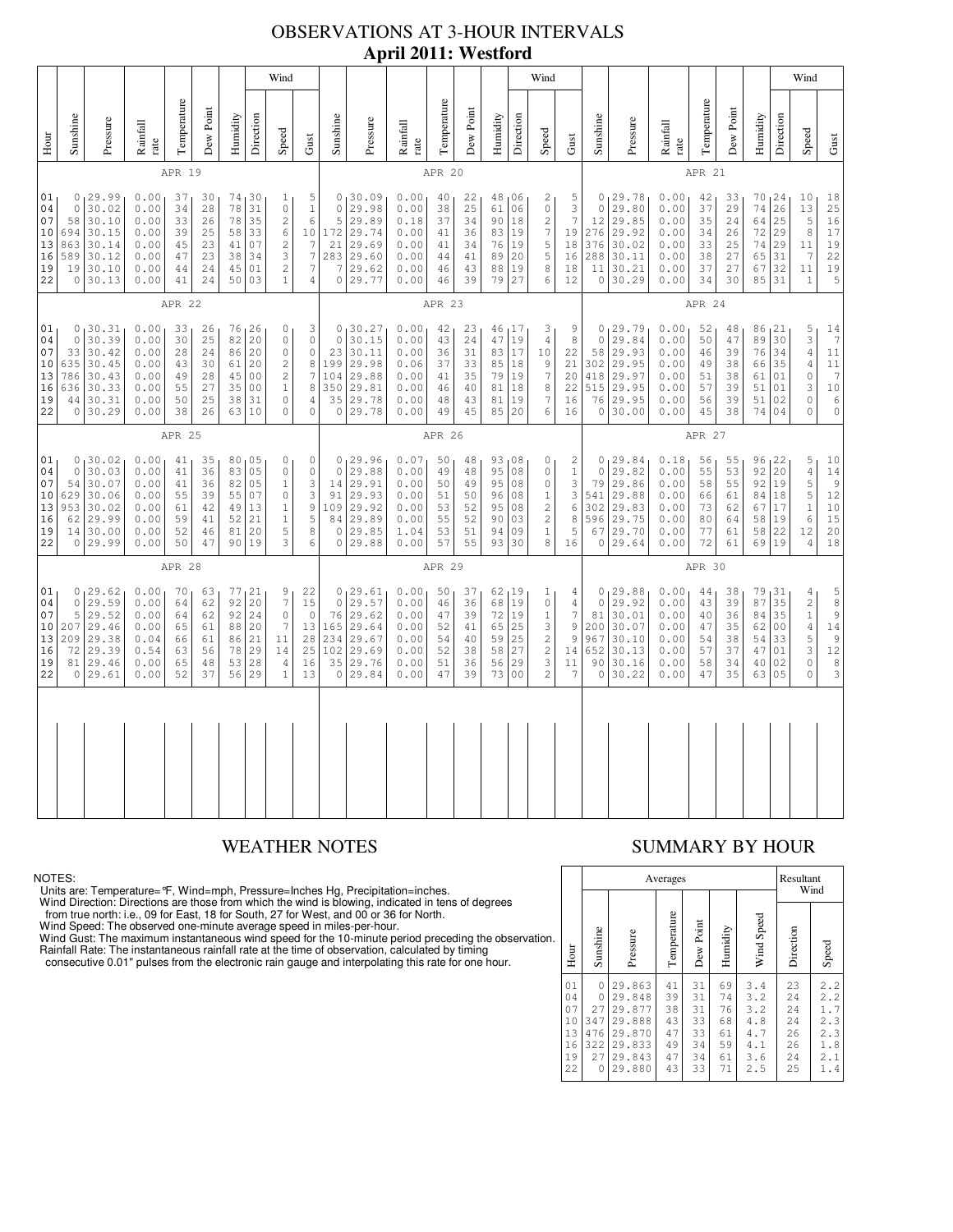# OBSERVATIONS AT 3-HOUR INTERVALS **April 2011: Westford**

|                                                | Wind                                                                                                                                                                                                                                                                                                                                                                                                                                                                                                    |                                                                         |                                                              |                                              |                                              |                                        |                                                                                        |                                                                                               |                                                                                                          |                                                              |                                                                                             |                                                              |                                                 |                                              | Wind                                                                                 |                                                            |                                                                                                             |                                                                                 |                                                                  |                                                                         |                                                                        |                                                 |                                              | Wind                                                             |                                                           |                                                                                       |                                                                                              |
|------------------------------------------------|---------------------------------------------------------------------------------------------------------------------------------------------------------------------------------------------------------------------------------------------------------------------------------------------------------------------------------------------------------------------------------------------------------------------------------------------------------------------------------------------------------|-------------------------------------------------------------------------|--------------------------------------------------------------|----------------------------------------------|----------------------------------------------|----------------------------------------|----------------------------------------------------------------------------------------|-----------------------------------------------------------------------------------------------|----------------------------------------------------------------------------------------------------------|--------------------------------------------------------------|---------------------------------------------------------------------------------------------|--------------------------------------------------------------|-------------------------------------------------|----------------------------------------------|--------------------------------------------------------------------------------------|------------------------------------------------------------|-------------------------------------------------------------------------------------------------------------|---------------------------------------------------------------------------------|------------------------------------------------------------------|-------------------------------------------------------------------------|------------------------------------------------------------------------|-------------------------------------------------|----------------------------------------------|------------------------------------------------------------------|-----------------------------------------------------------|---------------------------------------------------------------------------------------|----------------------------------------------------------------------------------------------|
| $H_{\text{out}}$                               | Sunshine                                                                                                                                                                                                                                                                                                                                                                                                                                                                                                | Pressure                                                                | Rainfall<br>rate                                             | Temperature                                  | Dew Point                                    | Humidity                               | Direction                                                                              | Speed                                                                                         | Gust                                                                                                     | Sunshine                                                     | Pressure                                                                                    | Rainfall<br>rate                                             | Temperature                                     | Dew Point                                    | Humidity                                                                             | Direction                                                  | Speed                                                                                                       | Gust                                                                            | Sunshine                                                         | Pressure                                                                | Rainfall<br>rate                                                       | Temperature                                     | Dew Point                                    | Humidity                                                         | Direction                                                 | Speed                                                                                 | $\mbox{Gust}$                                                                                |
|                                                |                                                                                                                                                                                                                                                                                                                                                                                                                                                                                                         |                                                                         |                                                              | APR 19                                       |                                              |                                        |                                                                                        |                                                                                               |                                                                                                          |                                                              |                                                                                             |                                                              | APR 20                                          |                                              |                                                                                      |                                                            |                                                                                                             |                                                                                 |                                                                  |                                                                         |                                                                        | APR 21                                          |                                              |                                                                  |                                                           |                                                                                       |                                                                                              |
| 01<br>04<br>07<br>10<br>13<br>16<br>19<br>22   | 0.00<br>0, 29.99<br>37<br>74 30<br>30<br>$\mathbf{1}$<br>$\circ$<br>30.02<br>0.00<br>34<br>28<br>78<br>31<br>$\mathbb O$<br>30.10<br>78<br>35<br>$\sqrt{2}$<br>0.00<br>26<br>58<br>33<br>30.15<br>25<br>58<br>33<br>$\epsilon$<br>694<br>0.00<br>39<br>$\sqrt{2}$<br>863<br>30.14<br>0.00<br>45<br>23<br>41<br>07<br>3<br>30.12<br>0.00<br>47<br>23<br>34<br>589<br>38<br>30.10<br>$\sqrt{2}$<br>19<br>0.00<br>44<br>24<br>45<br>01<br>30.13<br>0.00<br>41<br>24<br>50<br>03<br>$\mathbf{1}$<br>$\circ$ |                                                                         |                                                              |                                              |                                              |                                        | 5<br>$\,1$<br>6<br>10<br>$\boldsymbol{7}$<br>$\boldsymbol{7}$<br>$\boldsymbol{7}$<br>4 | $\circ$<br>5<br>21<br>7                                                                       | 0, 30.09<br>29.98<br>29.89<br>172 29.74<br>29.69<br>283 29.60<br>29.62<br>0 29.77                        | 0.00<br>0.00<br>0.18<br>0.00<br>0.00<br>0.00<br>0.00<br>0.00 | 40<br>38<br>37<br>41<br>41<br>44<br>46<br>46                                                | 22<br>25<br>34<br>36<br>34<br>41<br>43<br>39                 | 48<br>61<br>90<br>83 19<br>76<br>89<br>88<br>79 | 106<br>06<br>18<br>19<br>20<br>19<br>27      | 2<br>$\mathsf{O}\xspace$<br>$\sqrt{2}$<br>$\boldsymbol{7}$<br>5<br>5<br>$\,8\,$<br>6 | 5<br>3<br>$\overline{7}$<br>19<br>$1\,8$<br>16<br>18<br>12 | $\circ$<br>12<br>276<br>376<br>288<br>11<br>$\circ$                                                         | 0, 29.78<br>29.80<br>29.85<br>29.92<br>30.02<br>30.11<br>30.21<br>30.29         | 0.00<br>0.00<br>0.00<br>0.00<br>0.00<br>0.00<br>0.00<br>0.00     | 42<br>37<br>35<br>34<br>33<br>38<br>37<br>34                            | 33<br>29<br>24<br>26<br>25<br>27<br>27<br>30                           | 70<br>74<br>64<br>72<br>74<br>65<br>67<br>85 31 | 24<br>26<br>25<br>29<br>29<br>31<br>32       | 10<br>13<br>5<br>8<br>11<br>$\overline{7}$<br>11<br>$\mathbf{1}$ | 18<br>25<br>16<br>17<br>19<br>22<br>19<br>5               |                                                                                       |                                                                                              |
|                                                | APR 22                                                                                                                                                                                                                                                                                                                                                                                                                                                                                                  |                                                                         |                                                              |                                              |                                              |                                        |                                                                                        |                                                                                               |                                                                                                          |                                                              | APR 23                                                                                      |                                                              |                                                 |                                              |                                                                                      |                                                            |                                                                                                             |                                                                                 |                                                                  | APR 24                                                                  |                                                                        |                                                 |                                              |                                                                  |                                                           |                                                                                       |                                                                                              |
| 01<br>04<br>07<br>10<br>13<br>16<br>19<br>22   | 0<br>$\circ$<br>33<br>635<br>786<br>636<br>44<br>$\circ$                                                                                                                                                                                                                                                                                                                                                                                                                                                | 130.31<br>30.39<br>30.42<br>30.45<br>30.43<br>30.33<br>30.31<br>30.29   | 0.00<br>0.00<br>0.00<br>0.00<br>0.00<br>0.00<br>0.00<br>0.00 | 33<br>30<br>28<br>43<br>49<br>55<br>50<br>38 | 26<br>25<br>24<br>30<br>28<br>27<br>25<br>26 | 82<br>86<br>61<br>45<br>35<br>38<br>63 | 76 26<br>20<br>20<br>20<br>0 <sup>0</sup><br>0 <sub>0</sub><br>31<br>10                | $\circ$<br>$\circ$<br>$\circ$<br>$\mathbf{2}$<br>$\mathbf{2}$<br>$\mathbf{1}$<br>0<br>$\circ$ | 3<br>$\circ$<br>$\mathbb O$<br>8<br>7<br>8<br>4<br>$\circ$                                               | $\circ$<br>23<br>199<br>$\circ$                              | 0, 30, 27<br>30.15<br>30.11<br>29.98<br>104 29.88<br>350 29.81<br>$35 \mid 29.78$<br> 29.78 | 0.00<br>0.00<br>0.00<br>0.06<br>0.00<br>0.00<br>0.00<br>0.00 | 42<br>43<br>36<br>37<br>41<br>46<br>48<br>49    | 23<br>24<br>31<br>33<br>35<br>40<br>43<br>45 | 46, 17<br>47<br>83<br>85<br>79<br>81<br>81<br>85                                     | 19<br>17<br>18<br>19<br>18<br>19<br>20                     | 3<br>$\overline{4}$<br>10<br>$\overline{9}$<br>$\boldsymbol{7}$<br>8<br>7<br>6                              | 9<br>8<br>22<br>21<br>20<br>22<br>16<br>16                                      | $\circ$<br>58<br>302<br>418<br>515<br>76<br>$\circ$              | 0, 29.79<br>29.84<br>29.93<br>29.95<br>29.97<br>29.95<br>29.95<br>30.00 | 0.00<br>0.00<br>0.00<br>0.00<br>0.00<br>0.00<br>0.00<br>0.00           | 52<br>50<br>46<br>49<br>51<br>57<br>56<br>45    | 48<br>47<br>39<br>38<br>38<br>39<br>39<br>38 | 86<br>89<br>76<br>66<br>61<br>51<br>51<br>74                     | 121<br>30<br>34<br>35<br>01<br>01<br>02<br>04             | 5<br>3<br>$\sqrt{4}$<br>$\sqrt{4}$<br>$\mathbf 0$<br>3<br>$\mathbb O$<br>$\mathbf{0}$ | 14<br>$\overline{7}$<br>11<br>11<br>$\gamma$<br>$10$<br>6<br>$\circ$                         |
|                                                |                                                                                                                                                                                                                                                                                                                                                                                                                                                                                                         |                                                                         |                                                              | APR 25                                       |                                              |                                        |                                                                                        |                                                                                               |                                                                                                          |                                                              |                                                                                             |                                                              | APR 26                                          |                                              |                                                                                      |                                                            |                                                                                                             |                                                                                 | APR 27                                                           |                                                                         |                                                                        |                                                 |                                              |                                                                  |                                                           |                                                                                       |                                                                                              |
| 01<br>04<br>07<br>10<br>13<br>16<br>19<br>22   | 0<br>$\mathbb O$<br>54<br>629<br>953<br>62<br>14                                                                                                                                                                                                                                                                                                                                                                                                                                                        | 130.02<br>30.03<br>30.07<br>30.06<br>30.02<br>29.99<br>30.00<br>0 29.99 | 0.00<br>0.00<br>0.00<br>0.00<br>0.00<br>0.00<br>0.00<br>0.00 | 41<br>41<br>41<br>55<br>61<br>59<br>52<br>50 | 35<br>36<br>36<br>39<br>42<br>41<br>46<br>47 | 83<br>82<br>55<br>49<br>52<br>81<br>90 | 80 05<br>05<br>05<br>07<br>13<br>21<br>20<br>19                                        | 0<br>$\mathbb O$<br>$\mathbf{1}$<br>$\mathbb O$<br>$1\,$<br>$\mathbf{1}$<br>5<br>3            | $\mathbb O$<br>$\mathbb O$<br>$\ensuremath{\mathsf{3}}$<br>$\ensuremath{\mathsf{3}}$<br>9<br>5<br>8<br>6 | $\mathbb O$<br>14<br>91<br>84                                | 0, 29.96<br>29.88<br>29.91<br>29.93<br>109 29.92<br>29.89<br>0 29.85<br>0 29.88             | 0.07<br>0.00<br>0.00<br>0.00<br>0.00<br>0.00<br>1.04<br>0.00 | 50<br>49<br>50<br>51<br>53<br>55<br>53<br>57    | 48<br>48<br>49<br>50<br>52<br>52<br>51<br>55 | 93,08<br>95<br>95<br>96<br>95<br>90<br>94<br>93                                      | 08<br>08<br>08<br>08<br>03<br>09<br>30                     | 0<br>$\mathsf{O}\xspace$<br>$\mathsf{O}\xspace$<br>$\,1\,$<br>$\sqrt{2}$<br>$\sqrt{2}$<br>$\mathbf{1}$<br>8 | $\overline{c}$<br>$\,1$<br>3<br>3<br>6<br>8<br>5<br>16                          | $\overline{0}$<br>$\Omega$<br>79<br>541<br>302<br>596<br>67<br>0 | 29.84<br>29.82<br>29.86<br>29.88<br>29.83<br>29.75<br>29.70<br>29.64    | 0.18<br>0.00<br>0.00<br>0.00<br>0.00<br>0.00<br>0.00<br>0.00           | 56<br>55<br>58<br>66<br>73<br>80<br>77<br>72    | 55<br>53<br>55<br>61<br>62<br>64<br>61<br>61 | 96<br>92<br>92<br>84<br>67<br>58<br>58<br>69                     | 22<br>20<br>19<br>18<br>17<br>19<br>22<br>19              | 5<br>$\sqrt{4}$<br>5<br>5<br>$1\,$<br>6<br>12<br>$\overline{4}$                       | 10<br>14<br>$\mathsf 9$<br>12<br>10<br>15<br>20<br>18                                        |
|                                                |                                                                                                                                                                                                                                                                                                                                                                                                                                                                                                         |                                                                         |                                                              | APR 28                                       |                                              |                                        |                                                                                        |                                                                                               |                                                                                                          | APR 29                                                       |                                                                                             |                                                              |                                                 |                                              |                                                                                      |                                                            | APR 30                                                                                                      |                                                                                 |                                                                  |                                                                         |                                                                        |                                                 |                                              |                                                                  |                                                           |                                                                                       |                                                                                              |
| 01<br>04<br>07<br>10<br>13<br>16<br>19<br>2.2. | $\circ$<br>5<br>207<br>209<br>72<br>81<br>$\circ$                                                                                                                                                                                                                                                                                                                                                                                                                                                       | 0, 29.62<br>29.59<br>29.52<br>29.46<br>29.38<br>29.39<br>29.46<br>29.61 | 0.00<br>0.00<br>0.00<br>0.00<br>0.04<br>0.54<br>0.00<br>0.00 | 70<br>64<br>64<br>65<br>66<br>63<br>65<br>52 | 63<br>62<br>62<br>61<br>61<br>56<br>48<br>37 | 92<br>92<br>88<br>86<br>78<br>53<br>56 | 77,21<br>20<br>24<br>20<br>21<br>29<br>28<br>29                                        | 9<br>$7\phantom{.0}$<br>$\mathbb O$<br>7<br>11<br>14<br>$\overline{4}$<br>$\mathbf{1}$        | 22<br>15<br>$\circ$<br>13<br>28<br>25<br>16<br>13                                                        | $\circ$<br>165<br>234<br>102                                 | 0, 29.61<br>29.57<br>76 29.62<br>29.64<br>29.67<br>29.69<br>$35 \mid 29.76$<br>0 29.84      | 0.00<br>0.00<br>0.00<br>0.00<br>0.00<br>0.00<br>0.00<br>0.00 | 50<br>46<br>47<br>52<br>54<br>52<br>51<br>47    | 37<br>36<br>39<br>41<br>40<br>38<br>36<br>39 | 62,19<br>68<br>72<br>65<br>59<br>58<br>56<br>73                                      | 19<br>19<br>25<br>25<br>27<br>29<br>0 <sub>0</sub>         | 1<br>$\mathbb O$<br>$1\,$<br>$\ensuremath{\mathsf{3}}$<br>$\sqrt{2}$<br>$\sqrt{2}$<br>3<br>$\overline{c}$   | 4<br>$\overline{4}$<br>$\boldsymbol{7}$<br>9<br>9<br>14<br>11<br>$\overline{7}$ | $\circ$<br>81<br>200<br>967<br>652<br>90<br>$\circ$              | 0, 29.88<br>29.92<br>30.01<br>30.07<br>30.10<br>30.13<br>30.16<br>30.22 | 0.00<br>0.00<br>0.00<br>0.00<br>0.00<br>0.00<br>0.00<br>$0\,$ . $0\,0$ | 44<br>43<br>40<br>47<br>54<br>57<br>58<br>47    | 38<br>39<br>36<br>35<br>38<br>37<br>34<br>35 | 79<br>87<br>84<br>62<br>54<br>47<br>40<br>63                     | 131<br>35<br>35<br>0 <sub>0</sub><br>33<br>01<br>02<br>05 | 4<br>$\sqrt{2}$<br>$\,1\,$<br>$\sqrt{4}$<br>5<br>3<br>$\mathbb O$<br>$\Omega$         | $\frac{5}{8}$<br>$\mathsf{S}$<br>$1\,4$<br>$\mathfrak{g}$<br>12<br>$\,8\,$<br>$\mathfrak{S}$ |
|                                                |                                                                                                                                                                                                                                                                                                                                                                                                                                                                                                         |                                                                         |                                                              |                                              |                                              |                                        |                                                                                        |                                                                                               |                                                                                                          |                                                              |                                                                                             |                                                              |                                                 |                                              |                                                                                      |                                                            |                                                                                                             |                                                                                 |                                                                  |                                                                         |                                                                        |                                                 |                                              |                                                                  |                                                           |                                                                                       |                                                                                              |

### NOTES:

Units are: Temperature= °F, Wind=mph, Pressure=lnches Hg, Precipitation=inches.<br>Wind Direction: Directions are those from which the wind is blowing, indicated in tens of degrees<br>from true north: i.e., 09 for East, 18 for S

# WEATHER NOTES SUMMARY BY HOUR

|    |                                              |                                                    |                                                                              | Averages                                     |                                              | Resultant<br>Wind                            |                                                      |                                              |                                                      |  |
|----|----------------------------------------------|----------------------------------------------------|------------------------------------------------------------------------------|----------------------------------------------|----------------------------------------------|----------------------------------------------|------------------------------------------------------|----------------------------------------------|------------------------------------------------------|--|
| ä, | Hour                                         | Sunshine                                           | Pressure                                                                     | Temperature                                  | Dew Point                                    | Humidity                                     | Wind Speed                                           | Direction                                    | Speed                                                |  |
|    | 01<br>04<br>07<br>10<br>13<br>16<br>19<br>22 | $\circ$<br>0<br>27<br>347<br>476<br>322<br>27<br>0 | 29.863<br>29.848<br>29.877<br>29.888<br>29.870<br>29.833<br>29.843<br>29.880 | 41<br>39<br>38<br>43<br>47<br>49<br>47<br>43 | 31<br>31<br>31<br>33<br>33<br>34<br>34<br>33 | 69<br>74<br>76<br>68<br>61<br>59<br>61<br>71 | 3.4<br>3.2<br>3.2<br>4.8<br>4.7<br>4.1<br>3.6<br>2.5 | 23<br>24<br>24<br>24<br>26<br>26<br>24<br>25 | 2.2<br>2.2<br>1.7<br>2.3<br>2.3<br>1.8<br>2.1<br>1.4 |  |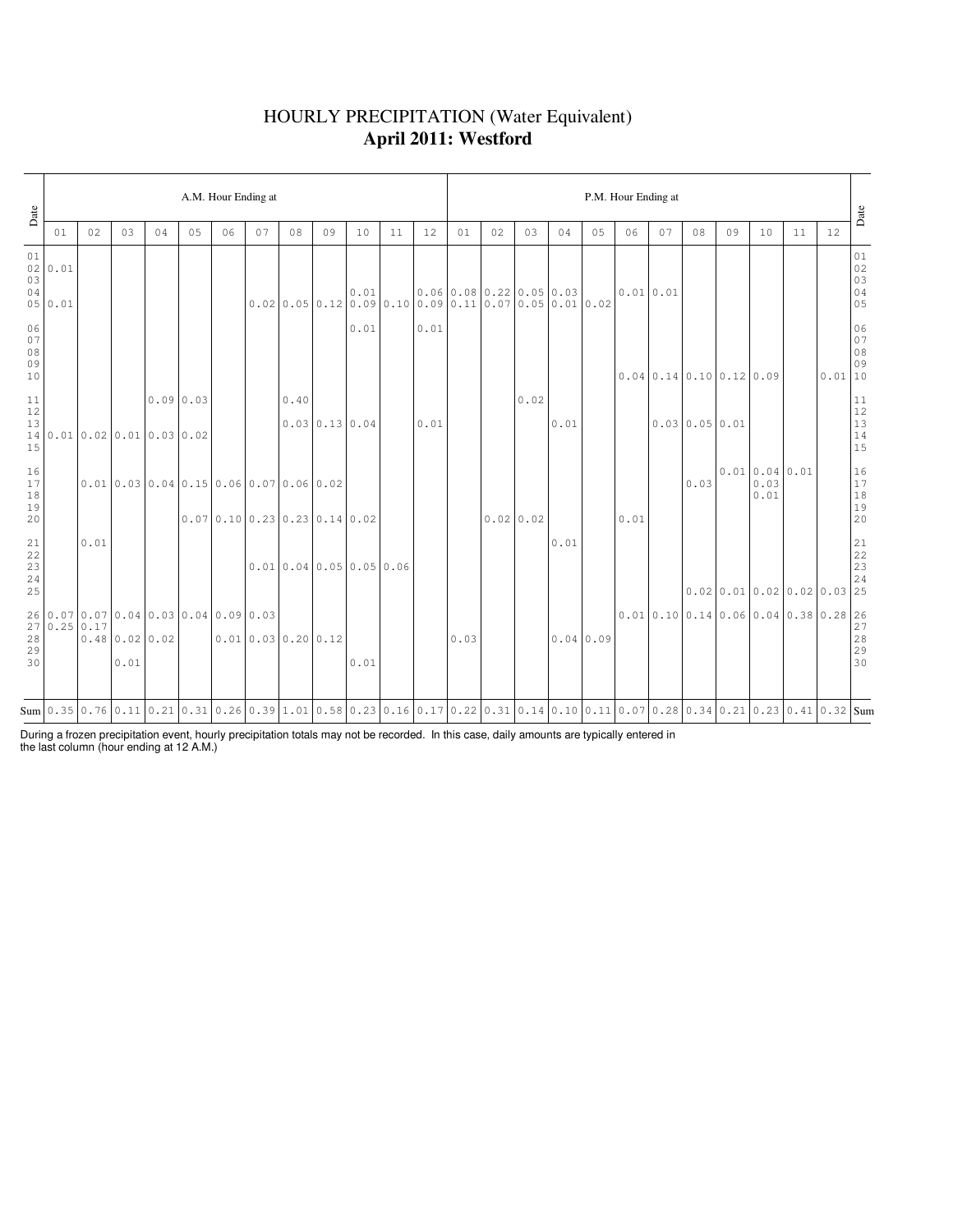### HOURLY PRECIPITATION (Water Equivalent) **April 2011: Westford**

| Date                                                                                     | A.M. Hour Ending at |      |      |                                                         |             |    |    |                     |                                 |      |    |      |                                                                                                                                           |           |      |           |    | P.M. Hour Ending at |    |              |    |                                                                                                                                                                               |    |        | Date                                                      |
|------------------------------------------------------------------------------------------|---------------------|------|------|---------------------------------------------------------|-------------|----|----|---------------------|---------------------------------|------|----|------|-------------------------------------------------------------------------------------------------------------------------------------------|-----------|------|-----------|----|---------------------|----|--------------|----|-------------------------------------------------------------------------------------------------------------------------------------------------------------------------------|----|--------|-----------------------------------------------------------|
|                                                                                          | 01                  | 02   | 0.3  | 04                                                      | 05          | 06 | 07 | 08                  | 09                              | 10   | 11 | 12   | 01                                                                                                                                        | 02        | 03   | 04        | 05 | 06                  | 07 | 08           | 09 | 10                                                                                                                                                                            | 11 | 12     |                                                           |
| 01<br>03<br>04                                                                           | 02 0.01<br>05 0.01  |      |      |                                                         |             |    |    |                     |                                 | 0.01 |    |      | $0.06$ 0.08 0.22 0.05 0.03<br>$0.020.050.120.090.100.090.110.070.050.010.02$                                                              |           |      |           |    | 0.010.01            |    |              |    |                                                                                                                                                                               |    |        | $0\,1$<br>$02$<br>03<br>04<br>05                          |
| 06<br>07<br>$0\,8$<br>09<br>10                                                           |                     |      |      |                                                         |             |    |    |                     |                                 | 0.01 |    | 0.01 |                                                                                                                                           |           |      |           |    |                     |    |              |    | $0.04$ 0.14 0.10 0.12 0.09                                                                                                                                                    |    | 0.0110 | $\begin{array}{c} 06 \\ 07 \end{array}$<br>$08$<br>09     |
| $1\,1$<br>12<br>13<br>15                                                                 |                     |      |      | 14 0.01 0.02 0.01 0.03 0.02                             | $0.09$ 0.03 |    |    | 0.40                | 0.030.130.04                    |      |    | 0.01 |                                                                                                                                           |           | 0.02 | 0.01      |    |                     |    | 0.030.050.01 |    |                                                                                                                                                                               |    |        | $\begin{array}{c} 11 \\ 12 \\ 13 \\ 14 \end{array}$<br>15 |
| 16<br>17<br>$1\,8$<br>19<br>20                                                           |                     |      |      | $0.01$   0.03   0.04   0.15   0.06   0.07   0.06   0.02 |             |    |    |                     | $0.07$ 0.10 0.23 0.23 0.14 0.02 |      |    |      |                                                                                                                                           | 0.0200.02 |      |           |    | 0.01                |    | 0.03         |    | 0.010.040.01<br>0.03<br>0.01                                                                                                                                                  |    |        | $\begin{array}{c} 16 \\ 17 \\ 18 \\ 19 \\ 20 \end{array}$ |
| $\begin{array}{c} 21 \\ 22 \end{array}$<br>$\begin{array}{c} 23 \\ 24 \end{array}$<br>25 |                     | 0.01 |      |                                                         |             |    |    |                     | 0.010.040.050.050.06            |      |    |      |                                                                                                                                           |           |      | 0.01      |    |                     |    |              |    | $0.02$   0.01   0.02   0.02   0.03   25                                                                                                                                       |    |        | $21$<br>$22$<br>$23$<br>$24$                              |
| 26<br>28<br>29<br>30                                                                     | 270.250.17          |      | 0.01 | 0.07 0.07 0.04 0.03 0.04 0.09 0.03<br>$0.48$ 0.02 0.02  |             |    |    | 0.01 0.03 0.20 0.12 |                                 | 0.01 |    |      | 0.03                                                                                                                                      |           |      | 0.04 0.09 |    |                     |    |              |    | $\begin{bmatrix} 0.01 & 0.10 & 0.14 & 0.06 & 0.04 & 0.38 & 0.28 & 26 \\ & & & & & & 27 \\ & & & & & & 28 \\ & & & & & & 28 \\ & & & & & & 29 \\ & & & & & & 30 \end{bmatrix}$ |    |        |                                                           |
|                                                                                          |                     |      |      |                                                         |             |    |    |                     |                                 |      |    |      | Sum 0.35 0.76 0.11 0.21 0.31 0.26 0.39 1.01 0.58 0.23 0.16 0.17 0.22 0.31 0.14 0.10 0.11 0.07 0.28 0.34 0.21 0.23 0.41 0.23 0.41 0.32 Sum |           |      |           |    |                     |    |              |    |                                                                                                                                                                               |    |        |                                                           |

During a frozen precipitation event, hourly precipitation totals may not be recorded. In this case, daily amounts are typically entered in the last column (hour ending at 12 A.M.)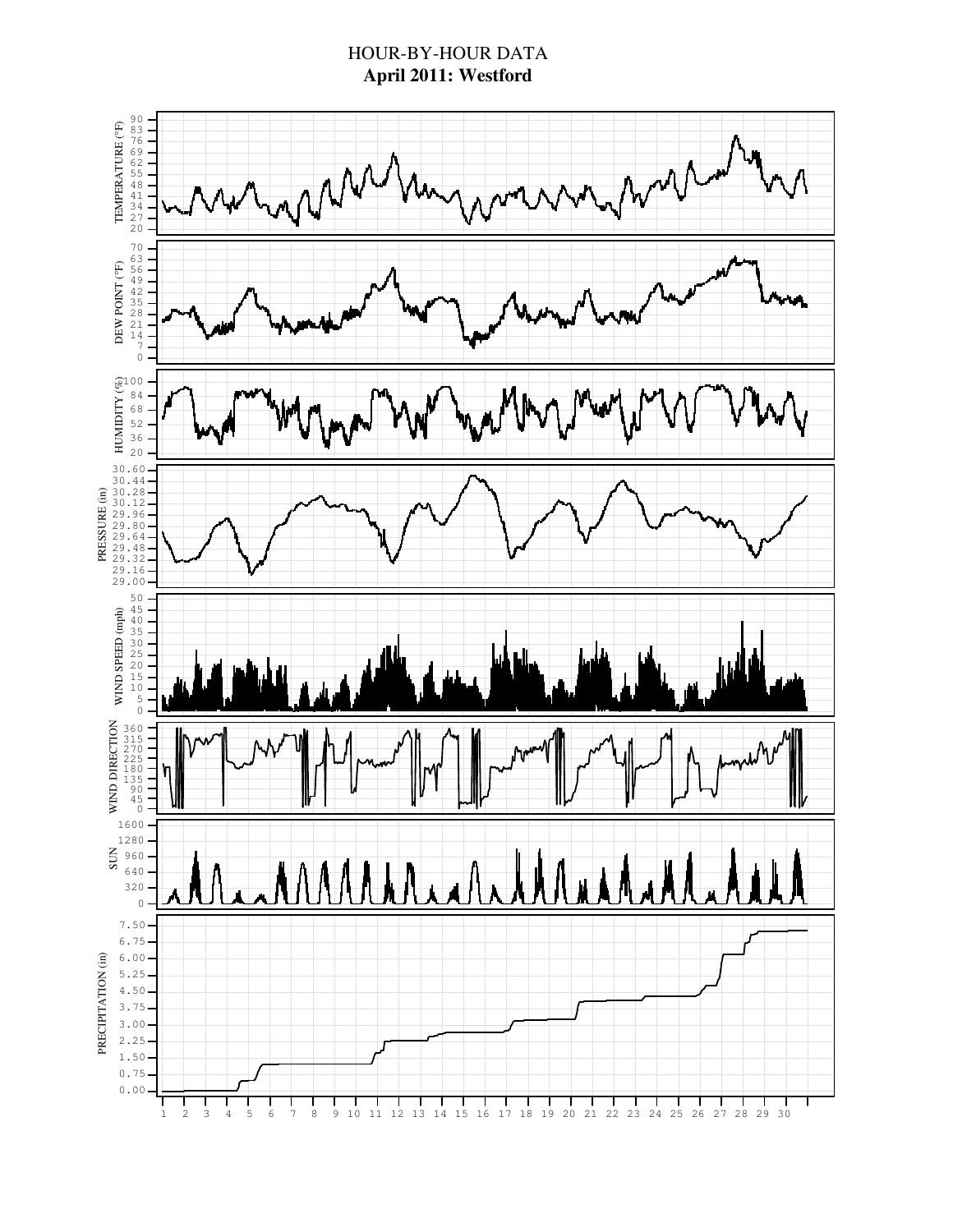### HOUR-BY-HOUR DATA **April 2011: Westford**